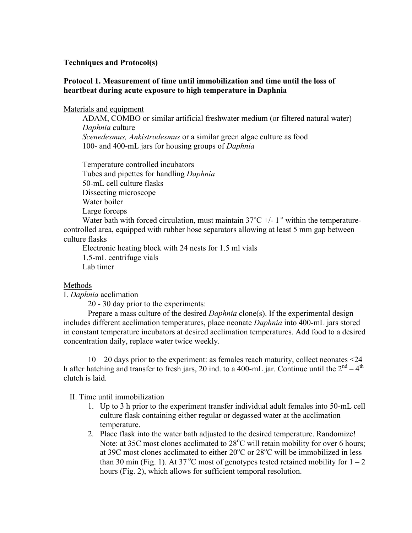## **Techniques and Protocol(s)**

## **Protocol 1. Measurement of time until immobilization and time until the loss of heartbeat during acute exposure to high temperature in Daphnia**

## Materials and equipment

ADAM, COMBO or similar artificial freshwater medium (or filtered natural water) *Daphnia* culture *Scenedesmus, Ankistrodesmus* or a similar green algae culture as food 100- and 400-mL jars for housing groups of *Daphnia*

Temperature controlled incubators Tubes and pipettes for handling *Daphnia* 50-mL cell culture flasks Dissecting microscope Water boiler Large forceps

Water bath with forced circulation, must maintain  $37^{\circ}$ C +/- 1<sup>°</sup> within the temperaturecontrolled area, equipped with rubber hose separators allowing at least 5 mm gap between culture flasks

Electronic heating block with 24 nests for 1.5 ml vials 1.5-mL centrifuge vials Lab timer

## Methods

I. *Daphnia* acclimation

20 - 30 day prior to the experiments:

Prepare a mass culture of the desired *Daphnia* clone(s). If the experimental design includes different acclimation temperatures, place neonate *Daphnia* into 400-mL jars stored in constant temperature incubators at desired acclimation temperatures. Add food to a desired concentration daily, replace water twice weekly.

 $10 - 20$  days prior to the experiment: as females reach maturity, collect neonates  $\leq 24$ h after hatching and transfer to fresh jars, 20 ind. to a 400-mL jar. Continue until the  $2<sup>nd</sup> - 4<sup>th</sup>$ clutch is laid.

II. Time until immobilization

- 1. Up to 3 h prior to the experiment transfer individual adult females into 50-mL cell culture flask containing either regular or degassed water at the acclimation temperature.
- 2. Place flask into the water bath adjusted to the desired temperature. Randomize! Note: at 35C most clones acclimated to  $28^{\circ}$ C will retain mobility for over 6 hours; at 39C most clones acclimated to either  $20^{\circ}$ C or  $28^{\circ}$ C will be immobilized in less than 30 min (Fig. 1). At 37<sup>°</sup>C most of genotypes tested retained mobility for  $1 - 2$ hours (Fig. 2), which allows for sufficient temporal resolution.